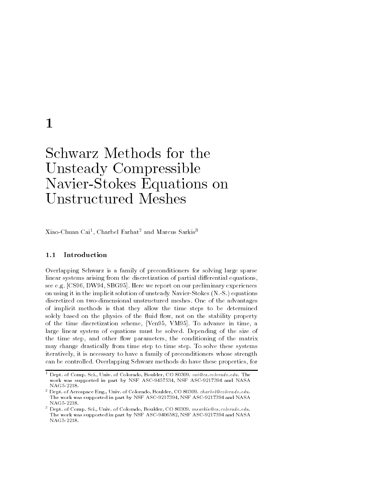$\mathbf{1}$ 

# Schwarz Methods for the Unsteady Compressible Navier-Stokes Equations on Unstructured Meshes Unstructured Meshes

Alao-Chuan Cai", Charbel Farhat and Marcus Sarkis-

#### Introduction  $1.1$

Overlapping Schwarz is a family of preconditioners for solving large sparse linear systems arising from the discretization of partial di-erential equations see e.g. [CS96, DW94, SBG95]. Here we report on our preliminary experiences on using it in the implicit solution of unsteady NavierStokes NS equations discretized on two-dimensional unstructured meshes. One of the advantages of implicit methods is that they allow the time steps to be determined solely based on the physics of the fluid flow, not on the stability property of the time discretization scheme, [Ven 95, VM95]. To advance in time, a large linear system of equations must be solved. Depending of the size of the time step, and other flow parameters, the conditioning of the matrix may change drastically from time step to time step To solve these systems iteratively it is necessary to have a family of preconditioners whose strength can be controlled. Overlapping Schwarz methods do have these properties, for

Dept of Comp Sci Univ of Colorado Boulder CO - caicscoloradoedu The work was supported in part by Two Time Ascenting Award Time Ascent Ascent Ascent NAG5-2218.

 $\sim$  Dept. of Aerospace Eng., Univ. of Colorado, Boulder, CO 80509. *charbel@coloraao.eau.*  $\sim$ was work was supported in part by Two Table Ascher Ascher Ascher Ascher Ascher Ascher Ascher Ascher

 $\sim$  Dept. of Comp. Sci., Univ. of Colorado, Boulder, CO 80309.  $msarks$  essessolorado.edu.  $\sim$ The work was supported in part by NSF ASC - NSF ASC - NSF ASC - NSF ASC - NSF ASC - NSF ASC - NSF ASC - NSF ASC NAG5-2218.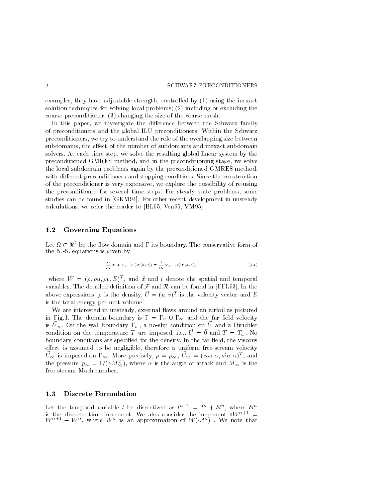examples they have adjustable strength controlled by using the inexact solution techniques for solving techniques problems  $\{ = \}$  including the excluding the solution coarse precenterenter (s) changing the size of the coarse meshes

In this paper we investigate the di-erence between the Schwarz family of preconditioners and the global ILU preconditioners Within the Schwarz preconditioners we try to understand the role of the overlapping size between e-e-e-e-e-e- the subdomains and interesting and interesting and interest and interesting solvers. At each time step, we solve the resulting global linear system by the preconditioned GMRES method, and in the preconditioning stage, we solve the local subdomain problems again by the preconditioned GMRES method with different preconditioners and stopping conditions since the conditions  $\mathbf{r}$ of the preconditioner is very expensive, we explore the possibility of re-using the preconditioner for several time steps. For steady state problems, some studies can be found in [GKM94]. For other recent development in unsteady calculations, we refer the reader to  $[BL95, Ven95, VM95]$ .

#### 1.2 Governing Equations

Let  $\Omega \subset \mathbb{R}^2$  be the flow domain and  $\Gamma$  its boundary. The conservative form of the  $N-S$  equations is given by

$$
\frac{\partial}{\partial t}W + \nabla_{\vec{x}} \cdot \mathcal{F}(W(\vec{x}, t)) = \frac{1}{\text{Re}} \nabla_{\vec{x}} \cdot \mathcal{R}(W(\vec{x}, t)), \tag{1.1}
$$

where  $W = (\rho, \rho u, \rho v, E)^{2}$ , and x and t denote the spatial and temporal variables. The detailed definition of  $\mathcal F$  and  $\mathcal R$  can be found in [FFL93]. In the above expressions,  $\rho$  is the density,  $U = (u, v)^{-1}$  is the velocity vector and  $E$ is the total energy per unit volume

We are interested in unsteady, external flows around an airfoil as pictured in Fig.1. The domain boundary is  $\Gamma = \Gamma_w \cup \Gamma_{\infty}$  and the far field velocity is  $U_{\infty}$ . On the wan boundary  $\mathbf{r}_{w}$ , a no-sitic condition on  $U$  and a Dirichlet condition on the temperature T are imposed, i.e.,  $U = 0$  and  $T = T_w$ . No boundary conditions are specified for the density. In the far field, the viscous e-ect is assumed to be negligible therefore a uniform freestream velocity  $U_{\infty}$  is imposed on  $\Gamma_{\infty}$ . More precisely,  $\rho = \rho_{\infty}$ ,  $U_{\infty} = (cos \ \alpha, sin \ \alpha)^{2}$ , and the pressure  $p_{\infty} = 1/( \gamma M_{\infty}^2)$ , where  $\alpha$  is the angle of attack and  $M_{\infty}$  is the freestream Mach number

# Discrete Formulation

Let the temporal variable t be discretized as  $t^{n+1} = t^n + \theta t^n$ , where  $\theta t^n$ is the discrete time increment, we also consider the increment  $\delta W^{n+1} = W^n$ , where  $W^n$  is an approximation of  $W(\cdot, t^n)$ . We note that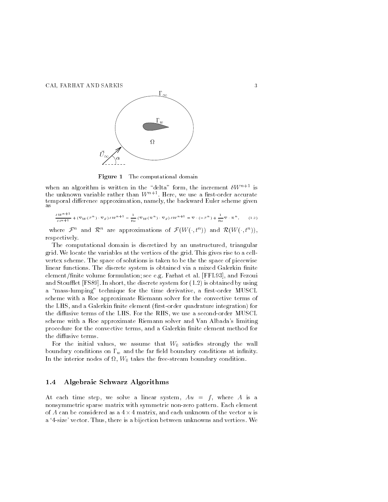CAI, FARHAT AND SARKIS



Figure The computational domain

when an algorithm is written in the "delta" form, the increment  $\delta W^{n+1}$  is the unknown variable rather than  $W^{n+1}$ . Here, we use a first-order accurate as  $\frac{1}{\sqrt{2}}$  and  $\frac{1}{\sqrt{2}}$  the backward Euler scheme given given given given given given given given given given given given given given given given given given given given given given given given given given given

$$
\frac{\delta W^{n+1}}{\delta t^{n+1}} + (\nabla_W(\mathcal{F}^n) \cdot \nabla_{\vec{x}}) \delta W^{n+1} - \frac{1}{\mathrm{Re}} (\nabla_W(\mathcal{R}^n) \cdot \nabla_{\vec{x}}) \delta W^{n+1} = \nabla \cdot (-\mathcal{F}^n) + \frac{1}{\mathrm{Re}} \nabla \cdot \mathcal{R}^n. \tag{1.2}
$$

where  $\mathcal{F}^n$  and  $\mathcal{R}^n$  are approximations of  $\mathcal{F}(W(\cdot,t^n))$  and  $\mathcal{R}(W(\cdot,t^n))$ , respectively

The computational domain is discretized by an unstructured, triangular grid We locate the variables at the vertices of the grid This gives rise to a cell vertex scheme. The space of solutions is taken to be the the space of piecewise linear functions. The discrete system is obtained via a mixed Galerkin finite element/finite volume formulation; see e.g. Farhat et al. [FFL93], and Fezoui and Stouet Farmer is obtained the discrete system for  $\mathcal{S}$  in the discrete system  $\mathcal{S}$ a "mass-lumping" technique for the time derivative, a first-order MUSCL scheme with a Roe approximate Riemann solver for the convective terms of the Little and a Galerie integration of the contract of the contract  $\mathcal{A}$  , and  $\mathcal{A}$ the distinct terms of the AHS For the LHS Form and MUSCLE MUSCLE Secondor MUSCLE Secondor scheme with a Roe approximate Riemann solver and Van Albada's limiting procedure for the convective terms, and a Galerkin finite element method for

For the initial values, we assume that  $W_0$  satisfies strongly the wall boundary conditions on  $\Gamma_w$  and the far field boundary conditions at infinity. In the interior nodes of  $\Omega$ ,  $W_0$  takes the free-stream boundary condition.

#### Algebraic Schwarz Algorithms

At each time step, we solve a linear system,  $Au = f$ , where A is a nonsymmetric sparse matrix with symmetric non-zero pattern. Each element of A can be considered as a  $4 \times 4$  matrix, and each unknown of the vector u is a '4-size' vector. Thus, there is a bijection between unknowns and vertices. We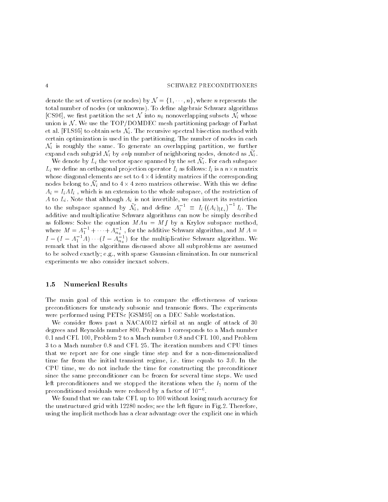denote the set of vertices (or nodes) by  $\mathcal{N} = \{1, \dots, n\}$ , where n represents the total dinumber of nodes (if number when  $\mu$  is a military algorithms algorithms algorithms algorithms algorit [CS96], we first partition the set N into  $n_0$  nonoverlapping subsets  $\mathcal{N}_i$  whose union is  $N$ . We use the TOP/DOMDEC mesh partitioning package of Farhat et al. [FLS95] to obtain sets  $\mathcal{N}_i$ . The recursive spectral bisection method with certain optimization is used in the partitioning. The number of nodes in each  $\mathcal{N}_i$  is roughly the same. To generate an overlapping partition, we further expand each subgrid  $\mathcal{N}_i$  by ovlp number of neighboring nodes, denoted as  $\mathcal{N}_i$ .

We denote by  $L_i$  the vector space spanned by the set  $\mathcal{N}_i$ . For each subspace  $L_i$  we define an orthogonal projection operator  $I_i$  as follows:  $I_i$  is a  $n \times n$  matrix whose diagonal elements are set to  $4 \times 4$  identity matrices if the corresponding nodes belong to  $\mathcal{N}_i$  and to  $4 \times 4$  zero matrices otherwise. With this we define  $A_i = I_i A_i$ , which is an extension to the whole subspace, of the restriction of A to  $L_i$ . Note that although  $A_i$  is not invertible, we can invert its restriction to the subspace spanned by  $\mathcal{N}_i$ , and define  $A_i^{-1} \equiv I_i((A_i)_{|L_i})^{-1}I_i$ . The additive and multiplicative Schwarz algorithms can now be simply described as follows: Solve the equation  $MAu = Mf$  by a Krylov subspace method. where  $M = A_1^{-1} + \cdots + A_{n_0}^{-1}$  , for the additive Schwarz algorithm, and  $M A =$  $I - (I - A_1^{-1}A) \cdots (I - A_{n_0}^{-1})$  for the multiplicative Schwarz algorithm. We remark that in the algorithms discussed above all subproblems are assumed to be solved exactly; e.g., with sparse Gaussian elimination. In our numerical experiments we also consider inexact solvers

### 1.5 Numerical Results

The main goal of this section is to compare the e-ectiveness of various preconditioners for unsteady subsonic and transonic flows. The experiments were performed using PETSc [GSM95] on a DEC Sable workstation.

We consider flows past a  $NACA0012$  airfoil at an angle of attack of 30 degrees and Reynolds number 800. Problem 1 corresponds to a Mach number 0.1 and CFL 100, Problem 2 to a Mach number 0.8 and CFL 100, and Problem 3 to a Mach number 0.8 and CFL 25. The iteration numbers and CPU times that we report are for one single time step and for a nondimensionalized time far from the initial transient regime, i.e. time equals to 3.0. In the CPU time we do not include the time for constructing the preconditioner since the same preconditioner can be frozen for several time steps. We used left preconditioners and we stopped the iterations when the  $l_2$  norm of the preconditioned residuals were reduced by a factor of

We found that we can take CFL up to 100 without losing much accuracy for the unstructured grid with  $12280$  nodes; see the left figure in Fig.2. Therefore, using the implicit methods has a clear advantage over the explicit one in which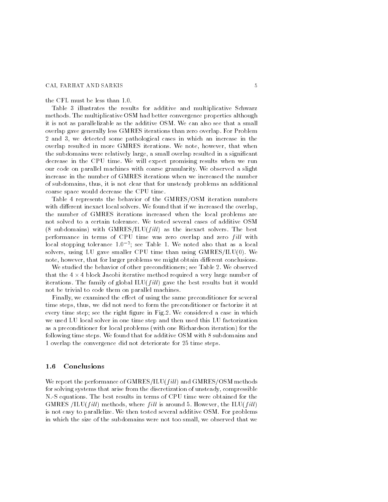#### CAI, FARHAT AND SARKIS

the CFL must be less than

Table 3 illustrates the results for additive and multiplicative Schwarz methods The multiplicative OSM had better convergence properties although it is not as parallelizable as the additive OSM. We can also see that a small overlap gave generally less GMRES iterations than zero overlap. For Problem 2 and 3, we detected some pathological cases in which an increase in the overlap resulted in more GMRES iterations. We note, however, that when the subdomains were relatively large a small overlap resulted in a signicant decrease in the CPU time. We will expect promising results when we run our code on parallel machines with coarse granularity We observed a slight increase in the number of GMRES iterations when we increased the number of subdomains thus it is not clear that for unsteady problems an additional coarse space would decrease the CPU time

Table 4 represents the behavior of the GMRES/OSM iteration numbers with di-derent inexact local solvers We found that if we increase that if we increase that if we increased the the number of GMRES iterations increased when the local problems are not solved to a certain tolerance We tested several cases of additive OSM is as the interest interest completely as the ill as the interest solvers Theory is a state of the solve performance in terms of CPU time was zero overlap and zero fill with local stopping tolerance 1.0 -; see Table 1. We noted also that as a local solvers using LU gave sincered by the count country construction (b) when  $\mathcal{L}^{\mathcal{P}}$ note however that for larger problems we might obtain di-erent conclusions

We studied the behavior of other preconditioners; see Table 2. We observed that the  $4 \times 4$  block Jacobi iterative method required a very large number of iterations The family of global ILU f ill gave the best results but it would not be trivial to code them on parallel machines

Finally we examined the e-ect of using the same preconditioner for several time steps, thus, we did not need to form the preconditioner or factorize it at every time step; see the right figure in Fig.2. We considered a case in which we used LU local solver in one time step and then used this LU factorization as a preconditioner for local problems with one Richardson iteration for the following time steps. We found that for additive OSM with 8 subdomains and 1 overlap the convergence did not deteriorate for 25 time steps.

#### 1.6 Conclusions

We report the performance of GMRESILU f ill and GMRESOSM methods for solving systems that arise from the discretization of unsteady compressible N.-S equations. The best results in terms of CPU time were obtained for the GMRESS ILLIN METHODS WHERE THE ILL IN THE ILL IS AROUND THE ILLINE ILLINE IS A ROUND WITH A LIMIT OF A LIMIT O is not easy to parallelize. We then tested several additive OSM. For problems in which the size of the subdomains were not too small, we observed that we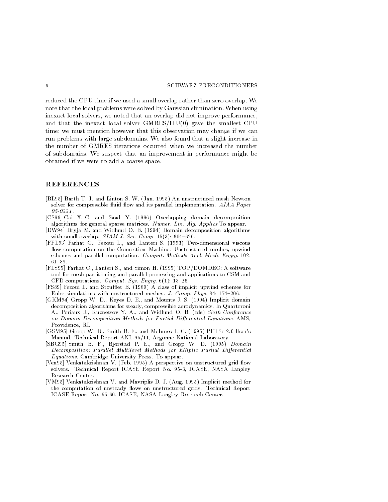reduced the CPU time if we used a small overlap rather than zero overlap We note that the local problems were solved by Gaussian elimination. When using inexact local solvers, we noted that an overlap did not improve performance, and the international solver solver GMRESILUS, and the smallest CPU solver GMRESILUM time; we must mention however that this observation may change if we can run problems with large subdomains We also found that a slight increase in the number of GMRES iterations occurred when we increased the number of subdomains We suspect that an improvement in performance might be obtained if we were to add a coarse space

# REFERENCES

- , and a second the state of the state of the state  $\alpha$  and  $\alpha$  and  $\alpha$  and  $\alpha$  and  $\alpha$  and  $\alpha$ solver for compressible fluid flow and its parallel implementation. AIAA Paper  $95.0991$
- $\blacksquare$  . The contract of the same  $\blacksquare$  is a set of the same  $\blacksquare$ algorithms for general sparse matrices. Numer. Lin. Alg. Applics To appear.
- $\blacksquare$  decomposition and  $\blacksquare$  and  $\blacksquare$ with small overlap in the small overlap in the small over laps in the small over laps in the small over laps in
- FFL- Farhat C Fezoui L and Lanteri S - Twodimensional viscous flow computation on the Connection Machine: Unstructured meshes, upwind schemes and parallel computation. Comput. Methods Appl. Mech. Engrg.  $102$ :  $61 - 88.$
- FLS Farhat C Lanteri S and Simon H  TOPDOMDEC A software tool for mesh partitioning and parallel processing and applications to CSM and  $\blacksquare$  . The computations of the computations of the computations of the computations of the computations of the computations of the computations of the computations of the computations of the computations of the computat
- $\mathbf{r}$  , and  $\mathbf{r}$  and  $\mathbf{r}$  and  $\mathbf{r}$  and  $\mathbf{r}$  is the schemes for  $\mathbf{r}$  and  $\mathbf{r}$ Euler simulations with unstructured meshes. J. Comp. Phys. 84: 174-206.
- , where  $\alpha$  , we specific the state of the Mounts State and Mounts Journal of the Mounts Journal of the Mounts decomposition algorithms for steady, compressible aerodynamics. In Quarteroni and a content in advanced to an easy which content to an interpretting order to a on Domain Decomposition Methods for Partial Differential Equations. AMS, Providence, RI.
- , we would get the set of  $\alpha$  smaller the set of modern contracts the set of  $\alpha$  . The set of  $\alpha$ Manual. Technical Report ANL-95/11, Argonne National Laboratory.
- , and it is a smith and the state of the state of the state of the state of the state of the state of the state of the state of the state of the state of the state of the state of the state of the state of the state of the Decomposition: Parallel Multilevel Methods for Elliptic Partial Differential  $Equations$ . Cambridge University Press. To appear.
- $\mathbf 1$  , and the ventation of the state on unstructured grid  $\mathbf 1$  and  $\mathbf 2$  perspective on  $\mathbf 1$ solvers Technical Report ICASE Report No - ICASE NASA Langley Research Center
- $\blacksquare$  vanishes and Mavriplis Dominicity Distribution and Mavriplis Distribution  $\blacksquare$ the computation of unsteady flows on unstructured grids. Technical Report ICASE Report No. 95-60, ICASE, NASA Langley Research Center.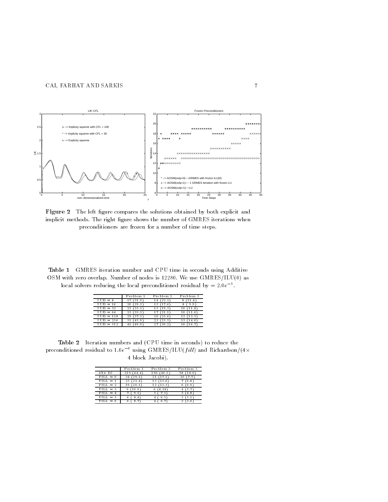

 $\bf r$  igure  $\bf z$  – The left lighte compares the solutions obtained by both explicit and implicit methods. The right figure shows the number of GMRES iterations when preconditioners are frozen for a number of time steps 

Table GMRES iteration number and CPU time in seconds using Additive  $\mathcal{N}$  with zero overlap is  $\mathcal{N}$  as  $\mathcal{N}$  with  $\mathcal{N}$  use  $\mathcal{N}$  as  $\mathcal{N}$  with  $\mathcal{N}$  as  $\mathcal{N}$ local solvers reducing the local preconditioned residual by  $=2.0e^{-\frac{1}{2}}$ .

|             | Problem    | Problem 2    | Problem 3  |
|-------------|------------|--------------|------------|
| $SUB = 8$   | 31.9       | (22.5)<br>14 | 11.4<br>8  |
| $SUB = 16$  | (29.3      | 17.6         | 9.9        |
|             | 20         | 13           | 8          |
| $SUB = 32$  | 33.5       | 19.3         | 11.8       |
|             | 23         | 15           | 10         |
| $SUB = 64$  | 33.3<br>25 | '21.1        | 11.6<br>10 |
| $SUB = 128$ | 37.5       | 23.6         | 13.5       |
|             | 29         | 20           | 12         |
| $SUB = 256$ | 35         | 25.5         | 14.0       |
|             | 43.9       | 22           | 13         |
| $SUB = 512$ | 49.9       | 30.2<br>27   | 16.7<br>16 |

**Table 2** Iteration numbers and ( $\cup$ r  $\cup$  time in seconds) to reduce the preconditioned residual to  $1.0e^{-\infty}$  using  $\mathrm{GMKES/1LU}(\textit{full})$  and  $\mathrm{Kichardson}/(4\times$ 4 block Jacobi).

|            | Problem                      | Problem 2    | Problem 3  |
|------------|------------------------------|--------------|------------|
| 4X4BJ      | 44.<br>$\overline{4}$<br>219 | 40.3<br>190  | 18.0<br>98 |
| $FILL = 0$ | 34<br>29.                    | 17.<br>21    | 7<br>10    |
| $FILL =$   | 23                           | 13.6<br>13   | 6.8        |
| $FILL = 2$ | 19<br>20.                    | 13.5<br>12   | 6<br>6.9   |
| $FILL = 3$ | 10.9<br>9                    | 8.18<br>6    | 5.7<br>4   |
| $FILL = 4$ | 9                            | 5<br>5<br>7. | з<br>4.8   |
| $FILL = 5$ | 8.4<br>6                     | 6.5<br>4     | з<br>5.1   |
|            | r,<br>6<br>8                 | 6.<br>4      | 2<br>3.6   |